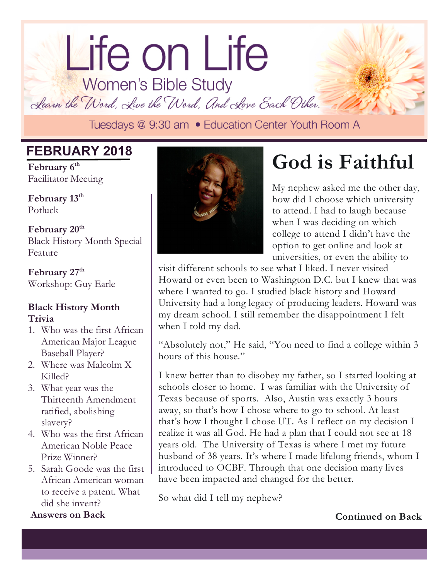# lorem ipsum dolor dolor sit amet. Life on Life<br>Women's Bible Study

Learn the Word, Live the Word, And Love Each Other.

### **FEBRUARY 2018**

February  $6^{\text{th}}$ Facilitator Meeting

Potluck February  $13^{\text{th}}$ 

February 20<sup>th</sup> Black History Month Special Feature

February 27<sup>th</sup> Workshop: Guy Earle

#### **Black History Month Trivia**

- 1. Who was the first African American Major League Baseball Player?
- 2. Where was Malcolm X Killed?
- 3. What year was the Thirteenth Amendment ratified, abolishing slavery?
- 4. Who was the first African American Noble Peace Prize Winner?
- 5. Sarah Goode was the first African American woman to receive a patent. What did she invent?

**Answers on Back** 



## **God is Faithful**

My nephew asked me the other day, how did I choose which university to attend. I had to laugh because when I was deciding on which college to attend I didn't have the option to get online and look at universities, or even the ability to

visit different schools to see what I liked. I never visited Howard or even been to Washington D.C. but I knew that was where I wanted to go. I studied black history and Howard University had a long legacy of producing leaders. Howard was my dream school. I still remember the disappointment I felt when I told my dad.

"Absolutely not," He said, "You need to find a college within 3 hours of this house."

I knew better than to disobey my father, so I started looking at schools closer to home. I was familiar with the University of Texas because of sports. Also, Austin was exactly 3 hours away, so that's how I chose where to go to school. At least that's how I thought I chose UT. As I reflect on my decision I realize it was all God. He had a plan that I could not see at 18 years old. The University of Texas is where I met my future husband of 38 years. It's where I made lifelong friends, whom I introduced to OCBF. Through that one decision many lives have been impacted and changed for the better.

So what did I tell my nephew?

**Continued on Back**